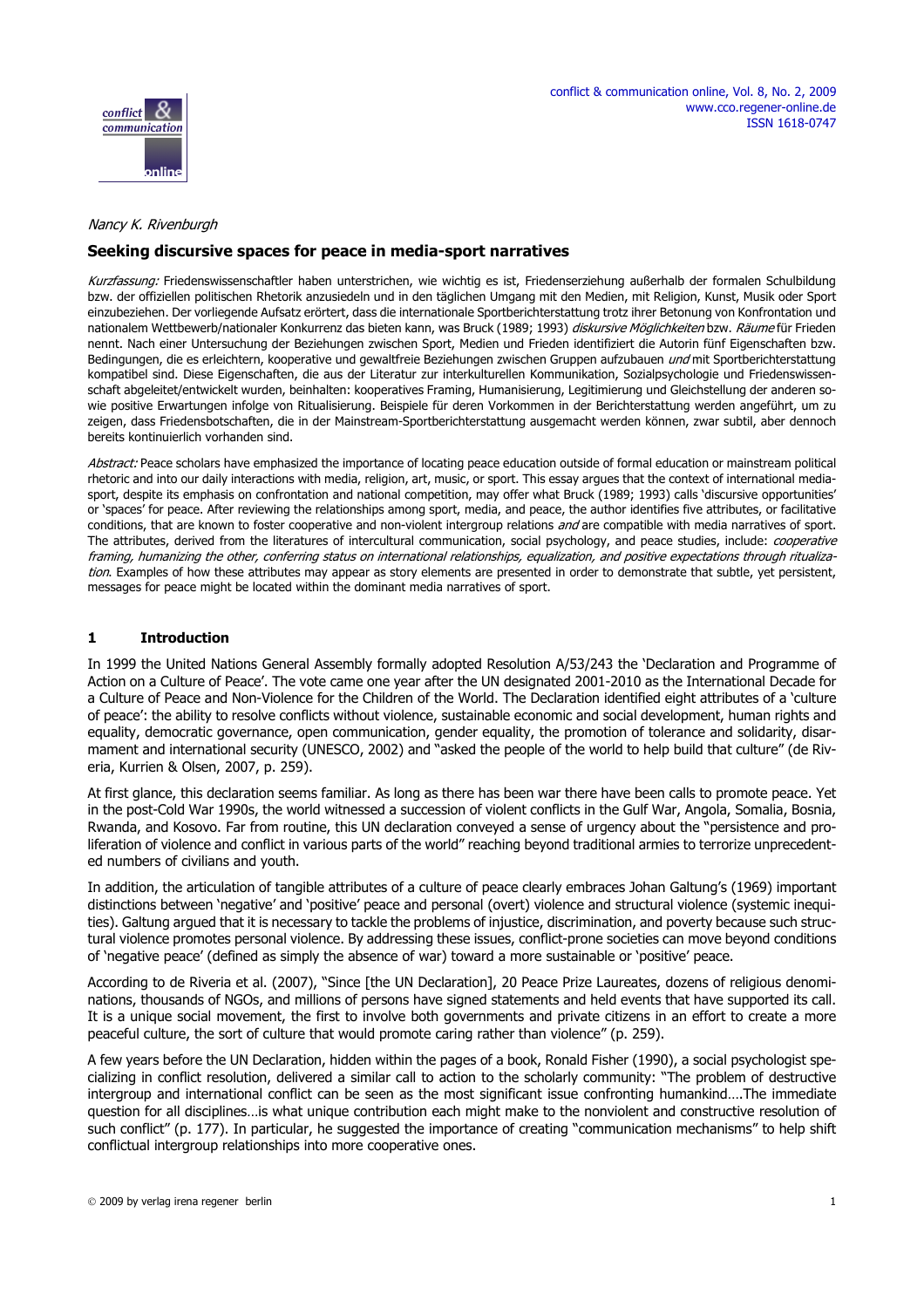

www.cco.regener-online.de

ISSN 1618-0747



#### Nancy K. Rivenburgh

## **Seeking discursive spaces for peace in media-sport narratives**

Kurzfassung: Friedenswissenschaftler haben unterstrichen, wie wichtig es ist, Friedenserziehung außerhalb der formalen Schulbildung bzw. der offiziellen politischen Rhetorik anzusiedeln und in den täglichen Umgang mit den Medien, mit Religion, Kunst, Musik oder Sport einzubeziehen. Der vorliegende Aufsatz erörtert, dass die internationale Sportberichterstattung trotz ihrer Betonung von Konfrontation und nationalem Wettbewerb/nationaler Konkurrenz das bieten kann, was Bruck (1989; 1993) diskursive Möglichkeiten bzw. Räume für Frieden nennt. Nach einer Untersuchung der Beziehungen zwischen Sport, Medien und Frieden identifiziert die Autorin fünf Eigenschaften bzw. Bedingungen, die es erleichtern, kooperative und gewaltfreie Beziehungen zwischen Gruppen aufzubauen *und* mit Sportberichterstattung kompatibel sind. Diese Eigenschaften, die aus der Literatur zur interkulturellen Kommunikation, Sozialpsychologie und Friedenswissenschaft abgeleitet/entwickelt wurden, beinhalten: kooperatives Framing, Humanisierung, Legitimierung und Gleichstellung der anderen sowie positive Erwartungen infolge von Ritualisierung. Beispiele für deren Vorkommen in der Berichterstattung werden angeführt, um zu zeigen, dass Friedensbotschaften, die in der Mainstream-Sportberichterstattung ausgemacht werden können, zwar subtil, aber dennoch bereits kontinuierlich vorhanden sind.

Abstract: Peace scholars have emphasized the importance of locating peace education outside of formal education or mainstream political rhetoric and into our daily interactions with media, religion, art, music, or sport. This essay argues that the context of international mediasport, despite its emphasis on confrontation and national competition, may offer what Bruck (1989; 1993) calls 'discursive opportunities' or 'spaces' for peace. After reviewing the relationships among sport, media, and peace, the author identifies five attributes, or facilitative conditions, that are known to foster cooperative and non-violent intergroup relations and are compatible with media narratives of sport. The attributes, derived from the literatures of intercultural communication, social psychology, and peace studies, include: *cooperative* framing, humanizing the other, conferring status on international relationships, equalization, and positive expectations through ritualization. Examples of how these attributes may appear as story elements are presented in order to demonstrate that subtle, yet persistent, messages for peace might be located within the dominant media narratives of sport.

# **1 Introduction**

In 1999 the United Nations General Assembly formally adopted Resolution A/53/243 the 'Declaration and Programme of Action on a Culture of Peace'. The vote came one year after the UN designated 2001-2010 as the International Decade for a Culture of Peace and Non-Violence for the Children of the World. The Declaration identified eight attributes of a 'culture of peace': the ability to resolve conflicts without violence, sustainable economic and social development, human rights and equality, democratic governance, open communication, gender equality, the promotion of tolerance and solidarity, disarmament and international security (UNESCO, 2002) and "asked the people of the world to help build that culture" (de Riveria, Kurrien & Olsen, 2007, p. 259).

At first glance, this declaration seems familiar. As long as there has been war there have been calls to promote peace. Yet in the post-Cold War 1990s, the world witnessed a succession of violent conflicts in the Gulf War, Angola, Somalia, Bosnia, Rwanda, and Kosovo. Far from routine, this UN declaration conveyed a sense of urgency about the "persistence and proliferation of violence and conflict in various parts of the world" reaching beyond traditional armies to terrorize unprecedented numbers of civilians and youth.

In addition, the articulation of tangible attributes of a culture of peace clearly embraces Johan Galtung's (1969) important distinctions between 'negative' and 'positive' peace and personal (overt) violence and structural violence (systemic inequities). Galtung argued that it is necessary to tackle the problems of injustice, discrimination, and poverty because such structural violence promotes personal violence. By addressing these issues, conflict-prone societies can move beyond conditions of 'negative peace' (defined as simply the absence of war) toward a more sustainable or 'positive' peace.

[According to de Riveria et al. \(2007\), "Since \[the UN Declaration\], 20 Peace Prize Laureates, dozens of religious denomi](http://www.culturaldiplomacynews.org)nations, thousands of NGOs, and millions of persons have signed statements and held events that have supported its call. It is a unique social movement, the first to involve both governments and private citizens in an effort to create a more peaceful culture, the sort of culture that would promote caring rather than violence" (p. 259).

A few years before the UN Declaration, hidden within the pages of a book, Ronald Fisher (1990), a social psychologist specializing in conflict resolution, delivered a similar call to action to the scholarly community: "The problem of destructive intergroup and international conflict can be seen as the most significant issue confronting humankind….The immediate [question for all disciplines…is what unique contribution each might make to the nonviolent and constructive resolution of](http://www.cco.regener-online.de) such conflict" (p. 177). In particular, he suggested the importance of creating "communication mechanisms" to help shift [conflictual intergroup relationships into more cooperative ones.](http://www.cco.regener-online.de)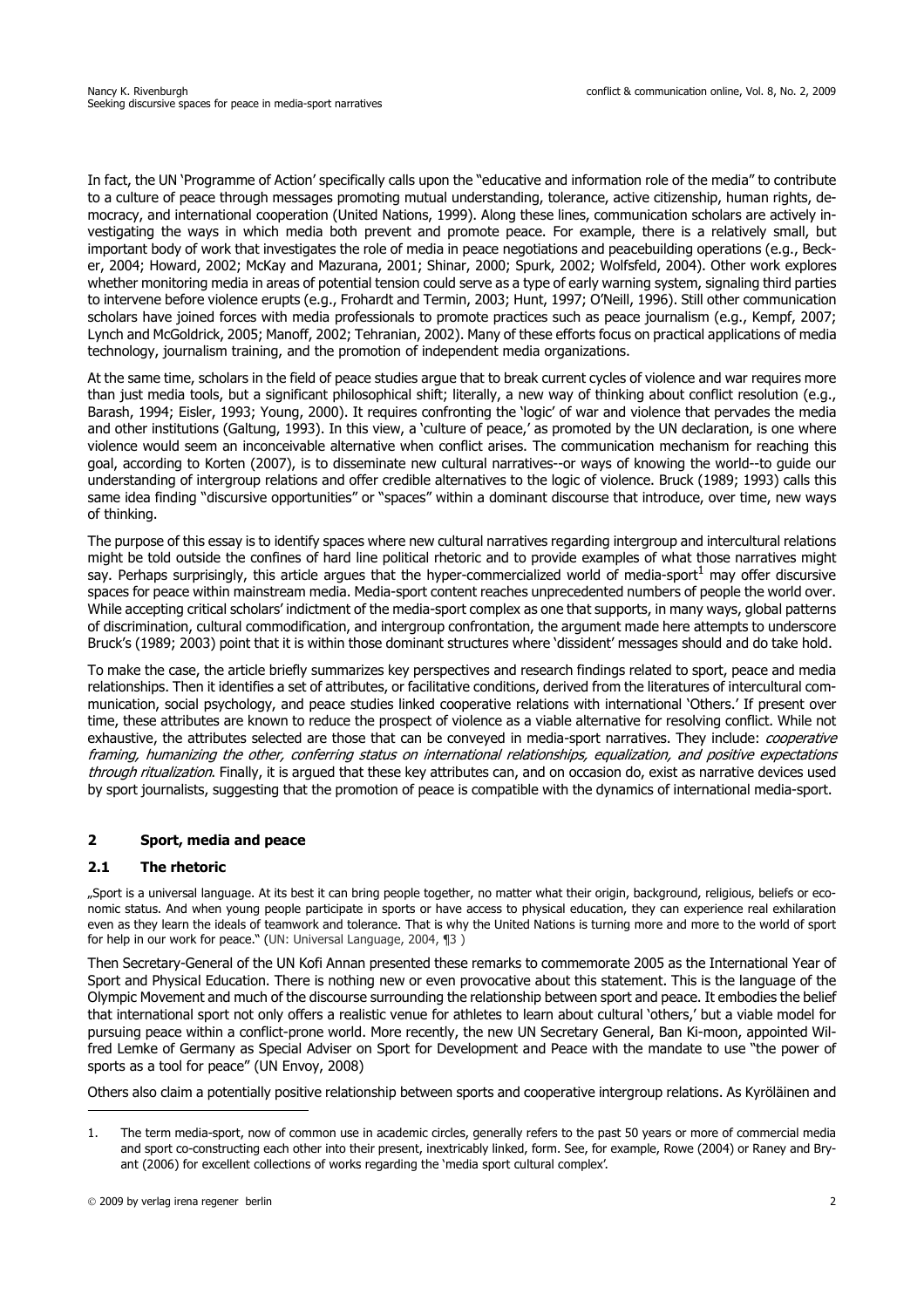[In fact, the UN 'Programme of Action' specifically calls upon the "educative and information role of the media" to contribute](http://www.cco.regener-online.de) to a culture of peace through messages promoting mutual understanding, tolerance, active citizenship, human rights, democracy, and international cooperation (United Nations, 1999). Along these lines, communication scholars are actively investigating the ways in which media both prevent and promote peace. For example, there is a relatively small, but important body of work that investigates the role of media in peace negotiations and peacebuilding operations (e.g., Becker, 2004; Howard, 2002; McKay and Mazurana, 2001; Shinar, 2000; Spurk, 2002; Wolfsfeld, 2004). Other work explores whether monitoring media in areas of potential tension could serve as a type of early warning system, signaling third parties to intervene before violence erupts (e.g., Frohardt and Termin, 2003; Hunt, 1997; O'Neill, 1996). Still other communication scholars have joined forces with media professionals to promote practices such as peace journalism (e.g., Kempf, 2007; Lynch and McGoldrick, 2005; Manoff, 2002; Tehranian, 2002). Many of these efforts focus on practical applications of media technology, journalism training, and the promotion of independent media organizations.

At the same time, scholars in the field of peace studies argue that to break current cycles of violence and war requires more than just media tools, but a significant philosophical shift; literally, a new way of thinking about conflict resolution (e.g., Barash, 1994; Eisler, 1993; Young, 2000). It requires confronting the 'logic' of war and violence that pervades the media and other institutions (Galtung, 1993). In this view, a 'culture of peace,' as promoted by the UN declaration, is one where violence would seem an inconceivable alternative when conflict arises. The communication mechanism for reaching this goal, according to Korten (2007), is to disseminate new cultural narratives--or ways of knowing the world--to guide our understanding of intergroup relations and offer credible alternatives to the logic of violence. Bruck (1989; 1993) calls this same idea finding "discursive opportunities" or "spaces" within a dominant discourse that introduce, over time, new ways of thinking.

The purpose of this essay is to identify spaces where new cultural narratives regarding intergroup and intercultural relations might be told outside the confines of hard line political rhetoric and to provide examples of what those narratives might say. Perhaps surprisingly, this article argues that the hyper-commercialized world of media-sport<sup>1</sup> may offer discursive spaces for peace within mainstream media. Media-sport content reaches unprecedented numbers of people the world over. While accepting critical scholars' indictment of the media-sport complex as one that supports, in many ways, global patterns of discrimination, cultural commodification, and intergroup confrontation, the argument made here attempts to underscore Bruck's (1989; 2003) point that it is within those dominant structures where 'dissident' messages should and do take hold.

To make the case, the article briefly summarizes key perspectives and research findings related to sport, peace and media relationships. Then it identifies a set of attributes, or facilitative conditions, derived from the literatures of intercultural communication, social psychology, and peace studies linked cooperative relations with international 'Others.' If present over time, these attributes are known to reduce the prospect of violence as a viable alternative for resolving conflict. While not exhaustive, the attributes selected are those that can be conveyed in media-sport narratives. They include: cooperative framing, humanizing the other, conferring status on international relationships, equalization, and positive expectations through ritualization. Finally, it is argued that these key attributes can, and on occasion do, exist as narrative devices used by sport journalists, suggesting that the promotion of peace is compatible with the dynamics of international media-sport.

# **2 Sport, media and peace**

## **2.1 The rhetoric**

"Sport is a universal language. At its best it can bring people together, no matter what their origin, background, religious, beliefs or economic status. And when young people participate in sports or have access to physical education, they can experience real exhilaration even as they learn the ideals of teamwork and tolerance. That is why the United Nations is turning more and more to the world of sport for help in our work for peace." (UN: Universal Language, 2004, ¶3 )

[Then Secretary-General of the UN Kofi Annan presented these remarks to commemorate 2005 as the International Year of](http://www.cco.regener-online.de) Sport and Physical Education. There is nothing new or even provocative about this statement. This is the language of the Olympic Movement and much of the discourse surrounding the relationship between sport and peace. It embodies the belief that international sport not only offers a realistic venue for athletes to learn about cultural 'others,' but a viable model for pursuing peace within a conflict-prone world. More recently, the new UN Secretary General, Ban Ki-moon, appointed Wilfred Lemke of Germany as Special Adviser on Sport for Development and Peace with the mandate to use "the power of sports as a tool for peace" (UN Envoy, 2008)

Others also claim a potentially positive relationship between sports and cooperative intergroup relations. As Kyröläinen and

<sup>1.</sup> The term media-sport, now of common use in academic circles, generally refers to the past 50 years or more of commercial media [and sport co-constructing each other into their present, inextricably linked, form. See, for example, Rowe \(2004\) or Raney and Bry](http://sports.espn.go.com)ant (2006) for excellent collections of works regarding the 'media sport cultural complex'.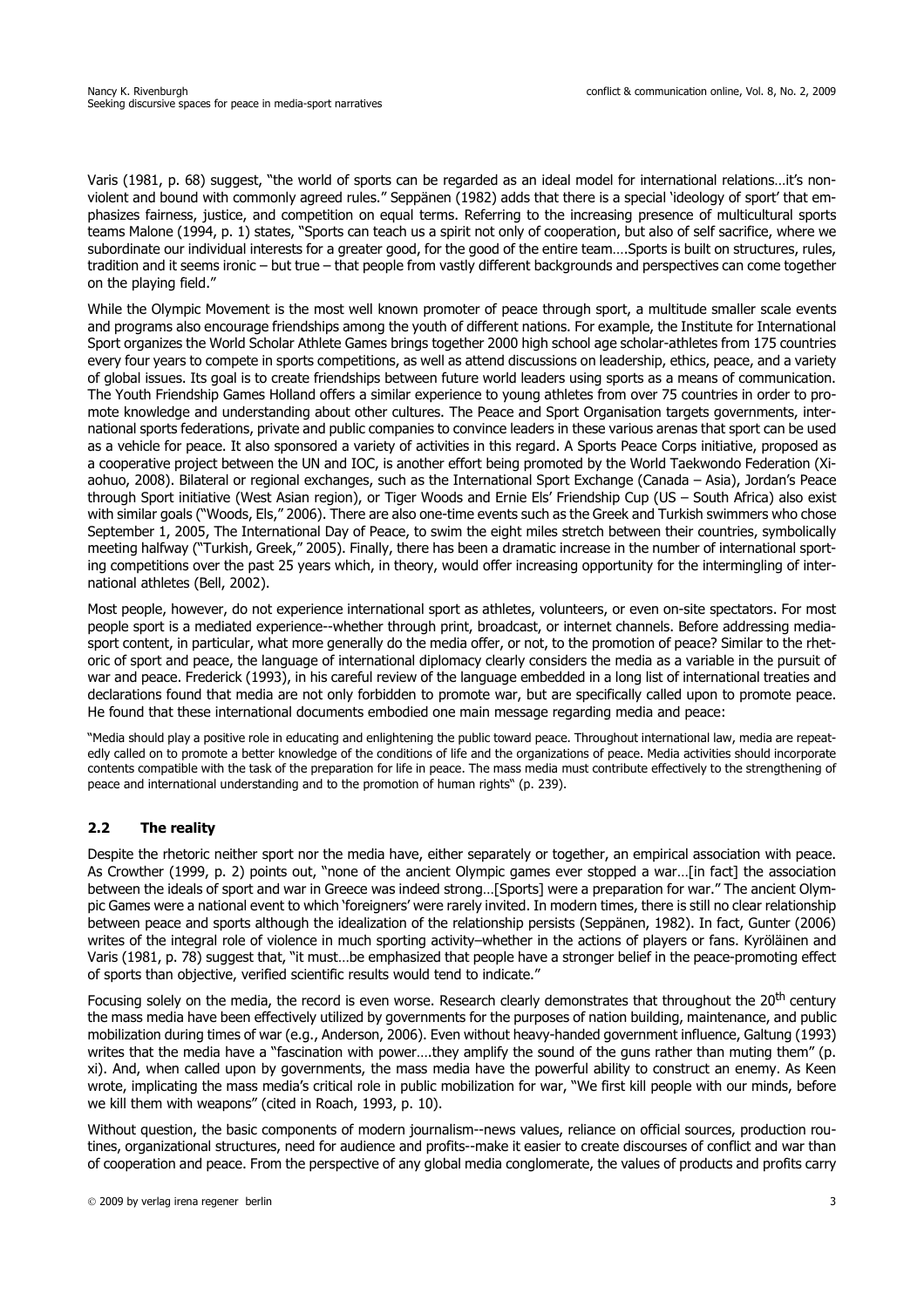Varis (1981, p. 68) suggest, "the world of sports can be regarded as an ideal model for international relations…it's nonviolent and bound with commonly agreed rules." Seppänen (1982) adds that there is a special 'ideology of sport' that emphasizes fairness, justice, and competition on equal terms. Referring to the increasing presence of multicultural sports teams Malone (1994, p. 1) states, "Sports can teach us a spirit not only of cooperation, but also of self sacrifice, where we subordinate our individual interests for a greater good, for the good of the entire team….Sports is built on structures, rules, tradition and it seems ironic – but true – that people from vastly different backgrounds and perspectives can come together on the playing field."

While the Olympic Movement is the most well known promoter of peace through sport, a multitude smaller scale events and programs also encourage friendships among the youth of different nations. For example, the Institute for International Sport organizes the World Scholar Athlete Games brings together 2000 high school age scholar-athletes from 175 countries every four years to compete in sports competitions, as well as attend discussions on leadership, ethics, peace, and a variety of global issues. Its goal is to create friendships between future world leaders using sports as a means of communication. The Youth Friendship Games Holland offers a similar experience to young athletes from over 75 countries in order to promote knowledge and understanding about other cultures. The Peace and Sport Organisation targets governments, international sports federations, private and public companies to convince leaders in these various arenas that sport can be used as a vehicle for peace. It also sponsored a variety of activities in this regard. A Sports Peace Corps initiative, proposed as a cooperative project between the UN and IOC, is another effort being promoted by the World Taekwondo Federation (Xiaohuo, 2008). Bilateral or regional exchanges, such as the International Sport Exchange (Canada – Asia), Jordan's Peace through Sport initiative (West Asian region), or Tiger Woods and Ernie Els' Friendship Cup (US – South Africa) also exist with similar goals ("Woods, Els," 2006). There are also one-time events such as the Greek and Turkish swimmers who chose September 1, 2005, The International Day of Peace, to swim the eight miles stretch between their countries, symbolically meeting halfway ("Turkish, Greek," 2005). Finally, there has been a dramatic increase in the number of international sporting competitions over the past 25 years which, in theory, would offer increasing opportunity for the intermingling of international athletes (Bell, 2002).

Most people, however, do not experience international sport as athletes, volunteers, or even on-site spectators. For most people sport is a mediated experience--whether through print, broadcast, or internet channels. Before addressing mediasport content, in particular, what more generally do the media offer, or not, to the promotion of peace? Similar to the rhetoric of sport and peace, the language of international diplomacy clearly considers the media as a variable in the pursuit of war and peace. Frederick (1993), in his careful review of the language embedded in a long list of international treaties and declarations found that media are not only forbidden to promote war, but are specifically called upon to promote peace. He found that these international documents embodied one main message regarding media and peace:

"Media should play a positive role in educating and enlightening the public toward peace. Throughout international law, media are repeatedly called on to promote a better knowledge of the conditions of life and the organizations of peace. Media activities should incorporate contents compatible with the task of the preparation for life in peace. The mass media must contribute effectively to the strengthening of peace and international understanding and to the promotion of human rights" (p. 239).

# **2.2 The reality**

Despite the rhetoric neither sport nor the media have, either separately or together, an empirical association with peace. As Crowther (1999, p. 2) points out, "none of the ancient Olympic games ever stopped a war…[in fact] the association between the ideals of sport and war in Greece was indeed strong…[Sports] were a preparation for war." The ancient Olympic Games were a national event to which 'foreigners' were rarely invited. In modern times, there is still no clear relationship between peace and sports although the idealization of the relationship persists (Seppänen, 1982). In fact, Gunter (2006) writes of the integral role of violence in much sporting activity–whether in the actions of players or fans. Kyröläinen and Varis (1981, p. 78) suggest that, "it must…be emphasized that people have a stronger belief in the peace-promoting effect of sports than objective, verified scientific results would tend to indicate."

Focusing solely on the media, the record is even worse. Research clearly demonstrates that throughout the 20<sup>th</sup> century the mass media have been effectively utilized by governments for the purposes of nation building, maintenance, and public mobilization during times of war (e.g., Anderson, 2006). Even without heavy-handed government influence, Galtung (1993) writes that the media have a "fascination with power....they amplify the sound of the guns rather than muting them" (p. xi). And, when called upon by governments, the mass media have the powerful ability to construct an enemy. As Keen wrote, implicating the mass media's critical role in public mobilization for war, "We first kill people with our minds, before we kill them with weapons" (cited in Roach, 1993, p. 10).

[Without question, the basic components of modern journalism--news values, reliance on official sources, production rou](mailto:nkriv@u.washington.edu)tines, organizational structures, need for audience and profits--make it easier to create discourses of conflict and war than [of cooperation and peace. From the perspective of any global media conglomerate, the values of products and profits carry](mailto:nkriv@u.washington.edu)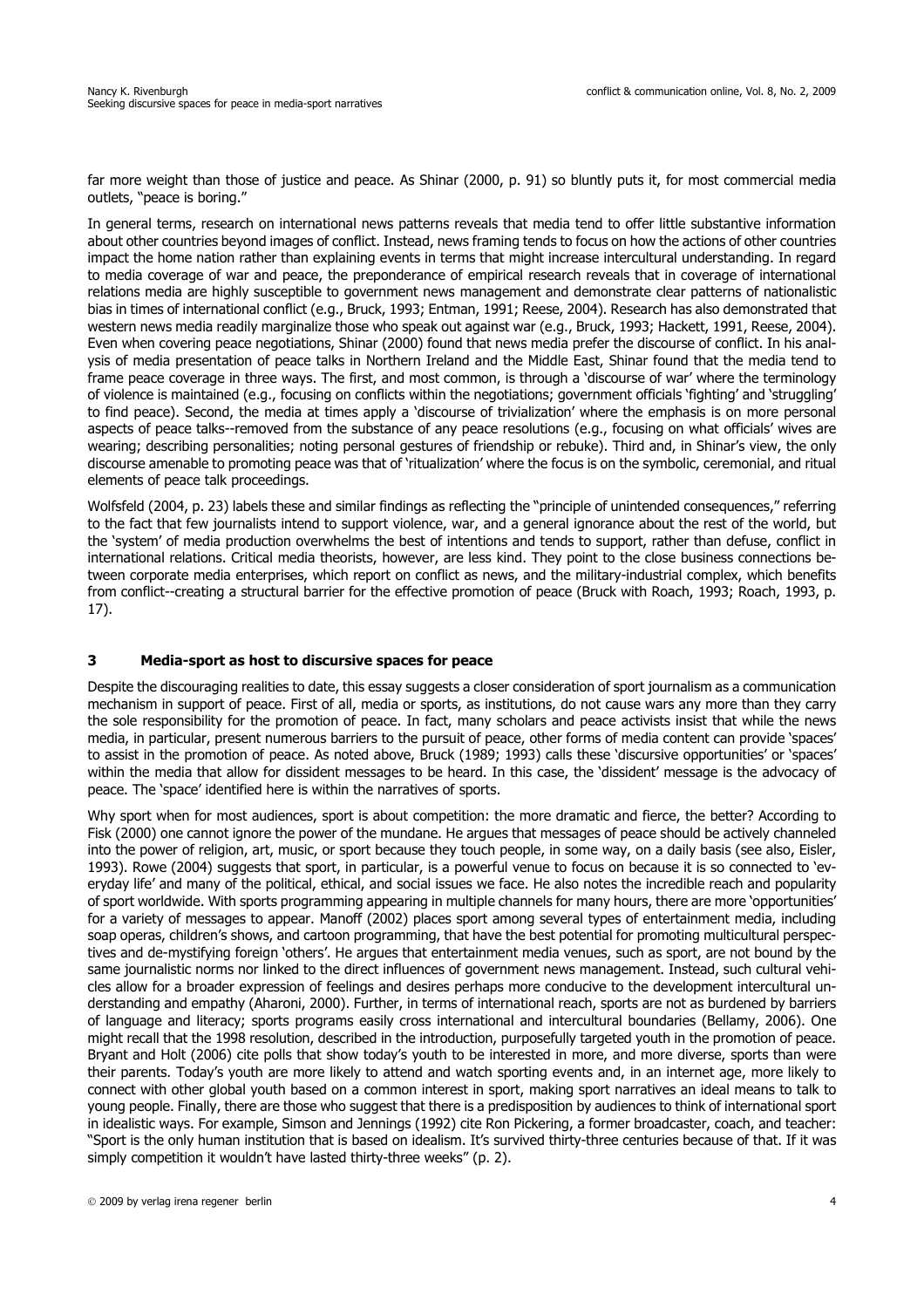[far more weight than those of justice and peace. As Shinar \(2000, p. 91\) so bluntly puts it, for most commercial media](mailto:nkriv@u.washington.edu) outlets, "peace is boring."

In general terms, research on international news patterns reveals that media tend to offer little substantive information about other countries beyond images of conflict. Instead, news framing tends to focus on how the actions of other countries impact the home nation rather than explaining events in terms that might increase intercultural understanding. In regard to media coverage of war and peace, the preponderance of empirical research reveals that in coverage of international relations media are highly susceptible to government news management and demonstrate clear patterns of nationalistic bias in times of international conflict (e.g., Bruck, 1993; Entman, 1991; Reese, 2004). Research has also demonstrated that western news media readily marginalize those who speak out against war (e.g., Bruck, 1993; Hackett, 1991, Reese, 2004). Even when covering peace negotiations, Shinar (2000) found that news media prefer the discourse of conflict. In his analysis of media presentation of peace talks in Northern Ireland and the Middle East, Shinar found that the media tend to frame peace coverage in three ways. The first, and most common, is through a 'discourse of war' where the terminology of violence is maintained (e.g., focusing on conflicts within the negotiations; government officials 'fighting' and 'struggling' to find peace). Second, the media at times apply a 'discourse of trivialization' where the emphasis is on more personal aspects of peace talks--removed from the substance of any peace resolutions (e.g., focusing on what officials' wives are wearing; describing personalities; noting personal gestures of friendship or rebuke). Third and, in Shinar's view, the only discourse amenable to promoting peace was that of 'ritualization' where the focus is on the symbolic, ceremonial, and ritual elements of peace talk proceedings.

Wolfsfeld (2004, p. 23) labels these and similar findings as reflecting the "principle of unintended consequences," referring to the fact that few journalists intend to support violence, war, and a general ignorance about the rest of the world, but the 'system' of media production overwhelms the best of intentions and tends to support, rather than defuse, conflict in international relations. Critical media theorists, however, are less kind. They point to the close business connections between corporate media enterprises, which report on conflict as news, and the military-industrial complex, which benefits from conflict--creating a structural barrier for the effective promotion of peace (Bruck with Roach, 1993; Roach, 1993, p. 17).

#### **3 Media-sport as host to discursive spaces for peace**

Despite the discouraging realities to date, this essay suggests a closer consideration of sport journalism as a communication mechanism in support of peace. First of all, media or sports, as institutions, do not cause wars any more than they carry the sole responsibility for the promotion of peace. In fact, many scholars and peace activists insist that while the news media, in particular, present numerous barriers to the pursuit of peace, other forms of media content can provide 'spaces' to assist in the promotion of peace. As noted above, Bruck (1989; 1993) calls these 'discursive opportunities' or 'spaces' within the media that allow for dissident messages to be heard. In this case, the 'dissident' message is the advocacy of peace. The 'space' identified here is within the narratives of sports.

Why sport when for most audiences, sport is about competition: the more dramatic and fierce, the better? According to Fisk (2000) one cannot ignore the power of the mundane. He argues that messages of peace should be actively channeled into the power of religion, art, music, or sport because they touch people, in some way, on a daily basis (see also, Eisler, 1993). Rowe (2004) suggests that sport, in particular, is a powerful venue to focus on because it is so connected to 'everyday life' and many of the political, ethical, and social issues we face. He also notes the incredible reach and popularity of sport worldwide. With sports programming appearing in multiple channels for many hours, there are more 'opportunities' for a variety of messages to appear. Manoff (2002) places sport among several types of entertainment media, including soap operas, children's shows, and cartoon programming, that have the best potential for promoting multicultural perspectives and de-mystifying foreign 'others'. He argues that entertainment media venues, such as sport, are not bound by the same journalistic norms nor linked to the direct influences of government news management. Instead, such cultural vehicles allow for a broader expression of feelings and desires perhaps more conducive to the development intercultural understanding and empathy (Aharoni, 2000). Further, in terms of international reach, sports are not as burdened by barriers of language and literacy; sports programs easily cross international and intercultural boundaries (Bellamy, 2006). One might recall that the 1998 resolution, described in the introduction, purposefully targeted youth in the promotion of peace. Bryant and Holt (2006) cite polls that show today's youth to be interested in more, and more diverse, sports than were their parents. Today's youth are more likely to attend and watch sporting events and, in an internet age, more likely to connect with other global youth based on a common interest in sport, making sport narratives an ideal means to talk to young people. Finally, there are those who suggest that there is a predisposition by audiences to think of international sport in idealistic ways. For example, Simson and Jennings (1992) cite Ron Pickering, a former broadcaster, coach, and teacher: "Sport is the only human institution that is based on idealism. It's survived thirty-three centuries because of that. If it was simply competition it wouldn't have lasted thirty-three weeks" (p. 2).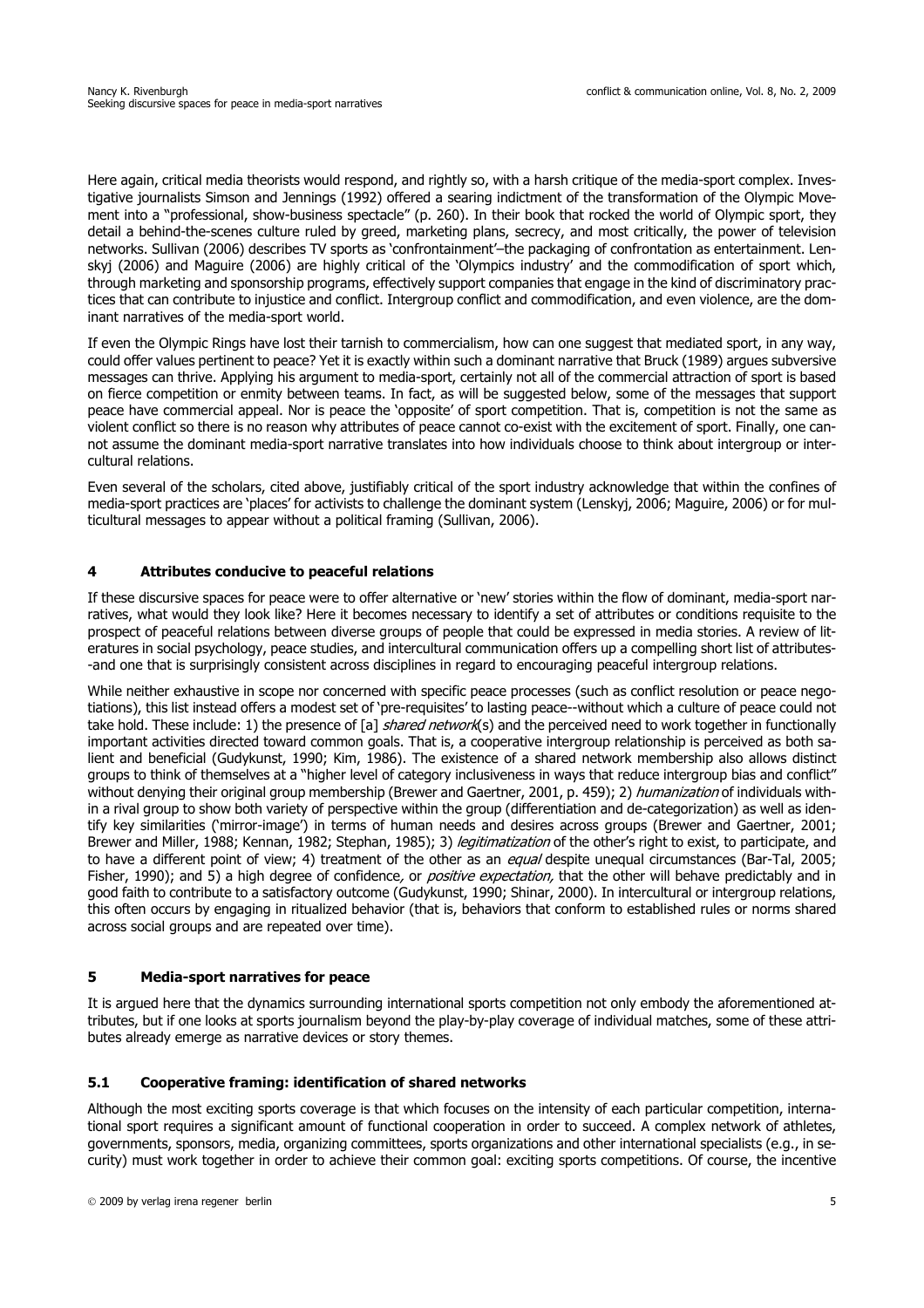Here again, critical media theorists would respond, and rightly so, with a harsh critique of the media-sport complex. Investigative journalists Simson and Jennings (1992) offered a searing indictment of the transformation of the Olympic Movement into a "professional, show-business spectacle" (p. 260). In their book that rocked the world of Olympic sport, they detail a behind-the-scenes culture ruled by greed, marketing plans, secrecy, and most critically, the power of television networks. Sullivan (2006) describes TV sports as 'confrontainment'–the packaging of confrontation as entertainment. Lenskyj (2006) and Maguire (2006) are highly critical of the 'Olympics industry' and the commodification of sport which, through marketing and sponsorship programs, effectively support companies that engage in the kind of discriminatory practices that can contribute to injustice and conflict. Intergroup conflict and commodification, and even violence, are the dominant narratives of the media-sport world.

If even the Olympic Rings have lost their tarnish to commercialism, how can one suggest that mediated sport, in any way, could offer values pertinent to peace? Yet it is exactly within such a dominant narrative that Bruck (1989) argues subversive messages can thrive. Applying his argument to media-sport, certainly not all of the commercial attraction of sport is based on fierce competition or enmity between teams. In fact, as will be suggested below, some of the messages that support peace have commercial appeal. Nor is peace the 'opposite' of sport competition. That is, competition is not the same as violent conflict so there is no reason why attributes of peace cannot co-exist with the excitement of sport. Finally, one cannot assume the dominant media-sport narrative translates into how individuals choose to think about intergroup or intercultural relations.

Even several of the scholars, cited above, justifiably critical of the sport industry acknowledge that within the confines of media-sport practices are 'places' for activists to challenge the dominant system (Lenskyj, 2006; Maguire, 2006) or for multicultural messages to appear without a political framing (Sullivan, 2006).

## **4 Attributes conducive to peaceful relations**

If these discursive spaces for peace were to offer alternative or 'new' stories within the flow of dominant, media-sport narratives, what would they look like? Here it becomes necessary to identify a set of attributes or conditions requisite to the prospect of peaceful relations between diverse groups of people that could be expressed in media stories. A review of literatures in social psychology, peace studies, and intercultural communication offers up a compelling short list of attributes- -and one that is surprisingly consistent across disciplines in regard to encouraging peaceful intergroup relations.

While neither exhaustive in scope nor concerned with specific peace processes (such as conflict resolution or peace negotiations), this list instead offers a modest set of 'pre-requisites' to lasting peace--without which a culture of peace could not take hold. These include: 1) the presence of [a] *shared network*(s) and the perceived need to work together in functionally important activities directed toward common goals. That is, a cooperative intergroup relationship is perceived as both salient and beneficial (Gudykunst, 1990; Kim, 1986). The existence of a shared network membership also allows distinct groups to think of themselves at a "higher level of category inclusiveness in ways that reduce intergroup bias and conflict" without denying their original group membership (Brewer and Gaertner, 2001, p. 459); 2) *humanization* of individuals within a rival group to show both variety of perspective within the group (differentiation and de-categorization) as well as identify key similarities ('mirror-image') in terms of human needs and desires across groups (Brewer and Gaertner, 2001; Brewer and Miller, 1988; Kennan, 1982; Stephan, 1985); 3) *legitimatization* of the other's right to exist, to participate, and to have a different point of view; 4) treatment of the other as an equal despite unequal circumstances (Bar-Tal, 2005; Fisher, 1990); and 5) a high degree of confidence, or *positive expectation*, that the other will behave predictably and in good faith to contribute to a satisfactory outcome (Gudykunst, 1990; Shinar, 2000). In intercultural or intergroup relations, this often occurs by engaging in ritualized behavior (that is, behaviors that conform to established rules or norms shared across social groups and are repeated over time).

## **5 Media-sport narratives for peace**

It is argued here that the dynamics surrounding international sports competition not only embody the aforementioned attributes, but if one looks at sports journalism beyond the play-by-play coverage of individual matches, some of these attributes already emerge as narrative devices or story themes.

#### **5.1 Cooperative framing: identification of shared networks**

Although the most exciting sports coverage is that which focuses on the intensity of each particular competition, international sport requires a significant amount of functional cooperation in order to succeed. A complex network of athletes, governments, sponsors, media, organizing committees, sports organizations and other international specialists (e.g., in security) must work together in order to achieve their common goal: exciting sports competitions. Of course, the incentive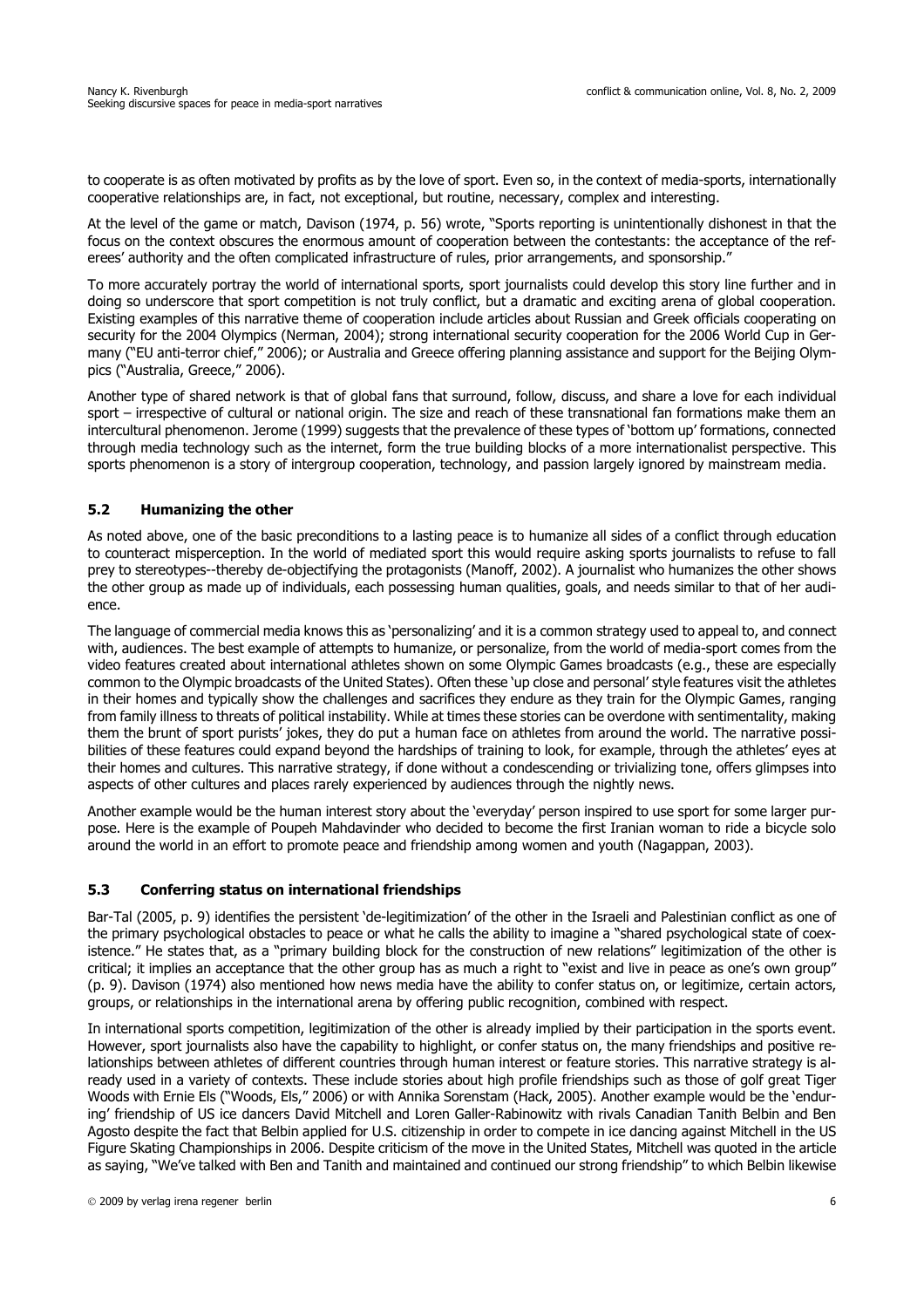to cooperate is as often motivated by profits as by the love of sport. Even so, in the context of media-sports, internationally cooperative relationships are, in fact, not exceptional, but routine, necessary, complex and interesting.

At the level of the game or match, Davison (1974, p. 56) wrote, "Sports reporting is unintentionally dishonest in that the focus on the context obscures the enormous amount of cooperation between the contestants: the acceptance of the referees' authority and the often complicated infrastructure of rules, prior arrangements, and sponsorship."

To more accurately portray the world of international sports, sport journalists could develop this story line further and in doing so underscore that sport competition is not truly conflict, but a dramatic and exciting arena of global cooperation. Existing examples of this narrative theme of cooperation include articles about Russian and Greek officials cooperating on security for the 2004 Olympics (Nerman, 2004); strong international security cooperation for the 2006 World Cup in Germany ("EU anti-terror chief," 2006); or Australia and Greece offering planning assistance and support for the Beijing Olympics ("Australia, Greece," 2006).

Another type of shared network is that of global fans that surround, follow, discuss, and share a love for each individual sport – irrespective of cultural or national origin. The size and reach of these transnational fan formations make them an intercultural phenomenon. Jerome (1999) suggests that the prevalence of these types of 'bottom up' formations, connected through media technology such as the internet, form the true building blocks of a more internationalist perspective. This sports phenomenon is a story of intergroup cooperation, technology, and passion largely ignored by mainstream media.

## **5.2 Humanizing the other**

As noted above, one of the basic preconditions to a lasting peace is to humanize all sides of a conflict through education to counteract misperception. In the world of mediated sport this would require asking sports journalists to refuse to fall prey to stereotypes--thereby de-objectifying the protagonists (Manoff, 2002). A journalist who humanizes the other shows the other group as made up of individuals, each possessing human qualities, goals, and needs similar to that of her audience.

The language of commercial media knows this as 'personalizing' and it is a common strategy used to appeal to, and connect with, audiences. The best example of attempts to humanize, or personalize, from the world of media-sport comes from the video features created about international athletes shown on some Olympic Games broadcasts (e.g., these are especially common to the Olympic broadcasts of the United States). Often these 'up close and personal' style features visit the athletes in their homes and typically show the challenges and sacrifices they endure as they train for the Olympic Games, ranging from family illness to threats of political instability. While at times these stories can be overdone with sentimentality, making them the brunt of sport purists' jokes, they do put a human face on athletes from around the world. The narrative possibilities of these features could expand beyond the hardships of training to look, for example, through the athletes' eyes at their homes and cultures. This narrative strategy, if done without a condescending or trivializing tone, offers glimpses into aspects of other cultures and places rarely experienced by audiences through the nightly news.

Another example would be the human interest story about the 'everyday' person inspired to use sport for some larger purpose. Here is the example of Poupeh Mahdavinder who decided to become the first Iranian woman to ride a bicycle solo around the world in an effort to promote peace and friendship among women and youth (Nagappan, 2003).

## **5.3 Conferring status on international friendships**

Bar-Tal (2005, p. 9) identifies the persistent 'de-legitimization' of the other in the Israeli and Palestinian conflict as one of the primary psychological obstacles to peace or what he calls the ability to imagine a "shared psychological state of coexistence." He states that, as a "primary building block for the construction of new relations" legitimization of the other is critical; it implies an acceptance that the other group has as much a right to "exist and live in peace as one's own group" (p. 9). Davison (1974) also mentioned how news media have the ability to confer status on, or legitimize, certain actors, groups, or relationships in the international arena by offering public recognition, combined with respect.

In international sports competition, legitimization of the other is already implied by their participation in the sports event. However, sport journalists also have the capability to highlight, or confer status on, the many friendships and positive relationships between athletes of different countries through human interest or feature stories. This narrative strategy is already used in a variety of contexts. These include stories about high profile friendships such as those of golf great Tiger Woods with Ernie Els ("Woods, Els," 2006) or with Annika Sorenstam (Hack, 2005). Another example would be the 'enduring' friendship of US ice dancers David Mitchell and Loren Galler-Rabinowitz with rivals Canadian Tanith Belbin and Ben Agosto despite the fact that Belbin applied for U.S. citizenship in order to compete in ice dancing against Mitchell in the US Figure Skating Championships in 2006. Despite criticism of the move in the United States, Mitchell was quoted in the article as saying, "We've talked with Ben and Tanith and maintained and continued our strong friendship" to which Belbin likewise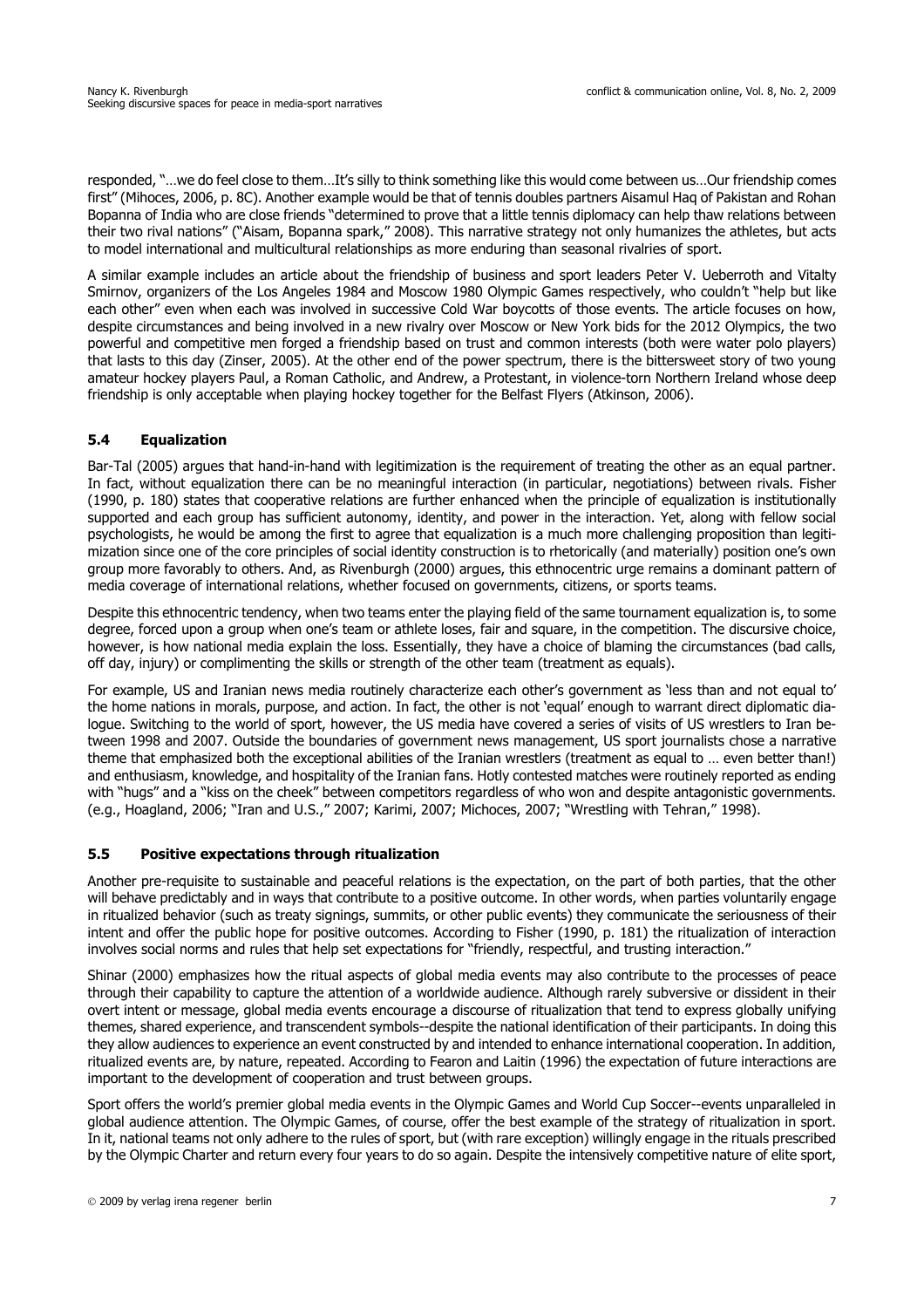responded, "…we do feel close to them…It's silly to think something like this would come between us…Our friendship comes first" (Mihoces, 2006, p. 8C). Another example would be that of tennis doubles partners Aisamul Haq of Pakistan and Rohan Bopanna of India who are close friends "determined to prove that a little tennis diplomacy can help thaw relations between their two rival nations" ("Aisam, Bopanna spark," 2008). This narrative strategy not only humanizes the athletes, but acts to model international and multicultural relationships as more enduring than seasonal rivalries of sport.

A similar example includes an article about the friendship of business and sport leaders Peter V. Ueberroth and Vitalty Smirnov, organizers of the Los Angeles 1984 and Moscow 1980 Olympic Games respectively, who couldn't "help but like each other" even when each was involved in successive Cold War boycotts of those events. The article focuses on how, despite circumstances and being involved in a new rivalry over Moscow or New York bids for the 2012 Olympics, the two powerful and competitive men forged a friendship based on trust and common interests (both were water polo players) that lasts to this day (Zinser, 2005). At the other end of the power spectrum, there is the bittersweet story of two young amateur hockey players Paul, a Roman Catholic, and Andrew, a Protestant, in violence-torn Northern Ireland whose deep friendship is only acceptable when playing hockey together for the Belfast Flyers (Atkinson, 2006).

## **5.4 Equalization**

Bar-Tal (2005) argues that hand-in-hand with legitimization is the requirement of treating the other as an equal partner. In fact, without equalization there can be no meaningful interaction (in particular, negotiations) between rivals. Fisher (1990, p. 180) states that cooperative relations are further enhanced when the principle of equalization is institutionally supported and each group has sufficient autonomy, identity, and power in the interaction. Yet, along with fellow social psychologists, he would be among the first to agree that equalization is a much more challenging proposition than legitimization since one of the core principles of social identity construction is to rhetorically (and materially) position one's own group more favorably to others. And, as Rivenburgh (2000) argues, this ethnocentric urge remains a dominant pattern of media coverage of international relations, whether focused on governments, citizens, or sports teams.

Despite this ethnocentric tendency, when two teams enter the playing field of the same tournament equalization is, to some degree, forced upon a group when one's team or athlete loses, fair and square, in the competition. The discursive choice, however, is how national media explain the loss. Essentially, they have a choice of blaming the circumstances (bad calls, off day, injury) or complimenting the skills or strength of the other team (treatment as equals).

For example, US and Iranian news media routinely characterize each other's government as 'less than and not equal to' the home nations in morals, purpose, and action. In fact, the other is not 'equal' enough to warrant direct diplomatic dialogue. Switching to the world of sport, however, the US media have covered a series of visits of US wrestlers to Iran between 1998 and 2007. Outside the boundaries of government news management, US sport journalists chose a narrative theme that emphasized both the exceptional abilities of the Iranian wrestlers (treatment as equal to … even better than!) and enthusiasm, knowledge, and hospitality of the Iranian fans. Hotly contested matches were routinely reported as ending with "hugs" and a "kiss on the cheek" between competitors regardless of who won and despite antagonistic governments. (e.g., Hoagland, 2006; "Iran and U.S.," 2007; Karimi, 2007; Michoces, 2007; "Wrestling with Tehran," 1998).

## **5.5 Positive expectations through ritualization**

Another pre-requisite to sustainable and peaceful relations is the expectation, on the part of both parties, that the other will behave predictably and in ways that contribute to a positive outcome. In other words, when parties voluntarily engage in ritualized behavior (such as treaty signings, summits, or other public events) they communicate the seriousness of their intent and offer the public hope for positive outcomes. According to Fisher (1990, p. 181) the ritualization of interaction involves social norms and rules that help set expectations for "friendly, respectful, and trusting interaction."

Shinar (2000) emphasizes how the ritual aspects of global media events may also contribute to the processes of peace through their capability to capture the attention of a worldwide audience. Although rarely subversive or dissident in their overt intent or message, global media events encourage a discourse of ritualization that tend to express globally unifying themes, shared experience, and transcendent symbols--despite the national identification of their participants. In doing this they allow audiences to experience an event constructed by and intended to enhance international cooperation. In addition, ritualized events are, by nature, repeated. According to Fearon and Laitin (1996) the expectation of future interactions are important to the development of cooperation and trust between groups.

Sport offers the world's premier global media events in the Olympic Games and World Cup Soccer--events unparalleled in global audience attention. The Olympic Games, of course, offer the best example of the strategy of ritualization in sport. In it, national teams not only adhere to the rules of sport, but (with rare exception) willingly engage in the rituals prescribed by the Olympic Charter and return every four years to do so again. Despite the intensively competitive nature of elite sport,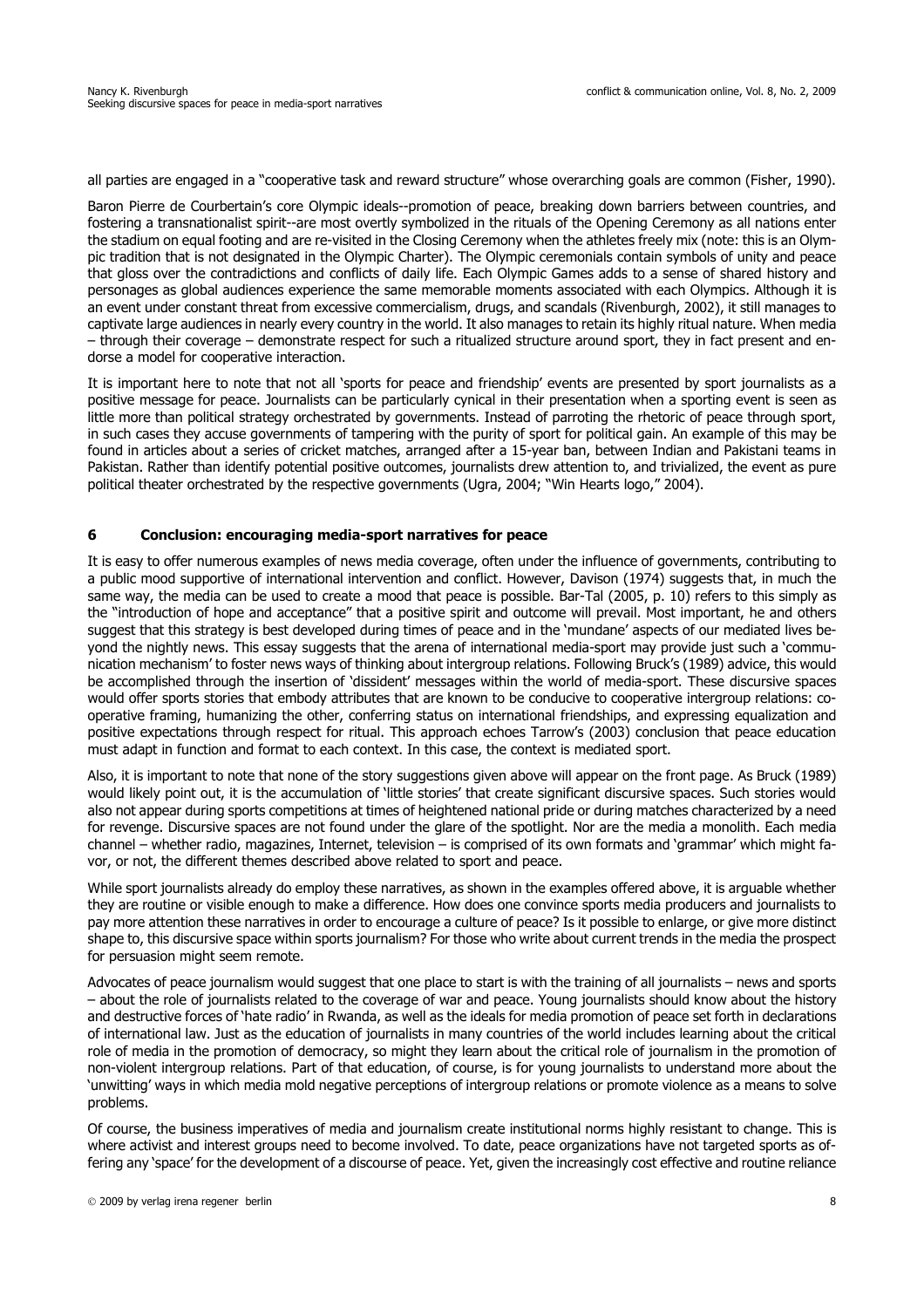all parties are engaged in a "cooperative task and reward structure" whose overarching goals are common (Fisher, 1990).

Baron Pierre de Courbertain's core Olympic ideals--promotion of peace, breaking down barriers between countries, and fostering a transnationalist spirit--are most overtly symbolized in the rituals of the Opening Ceremony as all nations enter the stadium on equal footing and are re-visited in the Closing Ceremony when the athletes freely mix (note: this is an Olympic tradition that is not designated in the Olympic Charter). The Olympic ceremonials contain symbols of unity and peace that gloss over the contradictions and conflicts of daily life. Each Olympic Games adds to a sense of shared history and personages as global audiences experience the same memorable moments associated with each Olympics. Although it is an event under constant threat from excessive commercialism, drugs, and scandals (Rivenburgh, 2002), it still manages to captivate large audiences in nearly every country in the world. It also manages to retain its highly ritual nature. When media – through their coverage – demonstrate respect for such a ritualized structure around sport, they in fact present and endorse a model for cooperative interaction.

It is important here to note that not all 'sports for peace and friendship' events are presented by sport journalists as a positive message for peace. Journalists can be particularly cynical in their presentation when a sporting event is seen as little more than political strategy orchestrated by governments. Instead of parroting the rhetoric of peace through sport, in such cases they accuse governments of tampering with the purity of sport for political gain. An example of this may be found in articles about a series of cricket matches, arranged after a 15-year ban, between Indian and Pakistani teams in Pakistan. Rather than identify potential positive outcomes, journalists drew attention to, and trivialized, the event as pure political theater orchestrated by the respective governments (Ugra, 2004; "Win Hearts logo," 2004).

#### **6 Conclusion: encouraging media-sport narratives for peace**

It is easy to offer numerous examples of news media coverage, often under the influence of governments, contributing to a public mood supportive of international intervention and conflict. However, Davison (1974) suggests that, in much the same way, the media can be used to create a mood that peace is possible. Bar-Tal (2005, p. 10) refers to this simply as the "introduction of hope and acceptance" that a positive spirit and outcome will prevail. Most important, he and others suggest that this strategy is best developed during times of peace and in the 'mundane' aspects of our mediated lives beyond the nightly news. This essay suggests that the arena of international media-sport may provide just such a 'communication mechanism' to foster news ways of thinking about intergroup relations. Following Bruck's (1989) advice, this would be accomplished through the insertion of 'dissident' messages within the world of media-sport. These discursive spaces would offer sports stories that embody attributes that are known to be conducive to cooperative intergroup relations: cooperative framing, humanizing the other, conferring status on international friendships, and expressing equalization and positive expectations through respect for ritual. This approach echoes Tarrow's (2003) conclusion that peace education must adapt in function and format to each context. In this case, the context is mediated sport.

Also, it is important to note that none of the story suggestions given above will appear on the front page. As Bruck (1989) would likely point out, it is the accumulation of 'little stories' that create significant discursive spaces. Such stories would also not appear during sports competitions at times of heightened national pride or during matches characterized by a need for revenge. Discursive spaces are not found under the glare of the spotlight. Nor are the media a monolith. Each media channel – whether radio, magazines, Internet, television – is comprised of its own formats and 'grammar' which might favor, or not, the different themes described above related to sport and peace.

While sport journalists already do employ these narratives, as shown in the examples offered above, it is arguable whether they are routine or visible enough to make a difference. How does one convince sports media producers and journalists to pay more attention these narratives in order to encourage a culture of peace? Is it possible to enlarge, or give more distinct shape to, this discursive space within sports journalism? For those who write about current trends in the media the prospect for persuasion might seem remote.

Advocates of peace journalism would suggest that one place to start is with the training of all journalists – news and sports – about the role of journalists related to the coverage of war and peace. Young journalists should know about the history and destructive forces of 'hate radio' in Rwanda, as well as the ideals for media promotion of peace set forth in declarations of international law. Just as the education of journalists in many countries of the world includes learning about the critical role of media in the promotion of democracy, so might they learn about the critical role of journalism in the promotion of non-violent intergroup relations. Part of that education, of course, is for young journalists to understand more about the 'unwitting' ways in which media mold negative perceptions of intergroup relations or promote violence as a means to solve problems.

Of course, the business imperatives of media and journalism create institutional norms highly resistant to change. This is where activist and interest groups need to become involved. To date, peace organizations have not targeted sports as offering any 'space' for the development of a discourse of peace. Yet, given the increasingly cost effective and routine reliance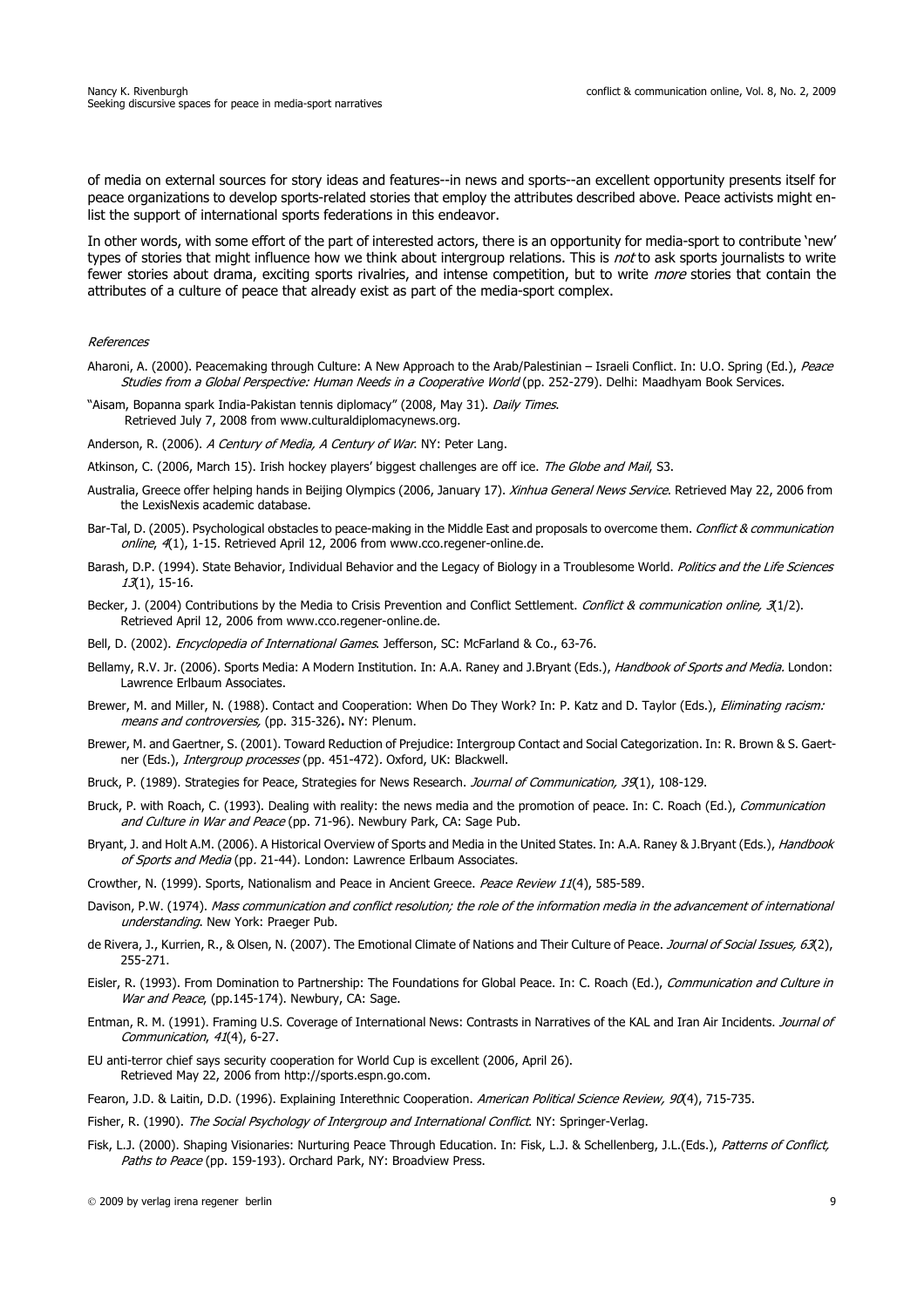of media on external sources for story ideas and features--in news and sports--an excellent opportunity presents itself for peace organizations to develop sports-related stories that employ the attributes described above. Peace activists might enlist the support of international sports federations in this endeavor.

In other words, with some effort of the part of interested actors, there is an opportunity for media-sport to contribute 'new' types of stories that might influence how we think about intergroup relations. This is not to ask sports journalists to write fewer stories about drama, exciting sports rivalries, and intense competition, but to write *more* stories that contain the attributes of a culture of peace that already exist as part of the media-sport complex.

#### References

- Aharoni, A. (2000). Peacemaking through Culture: A New Approach to the Arab/Palestinian Israeli Conflict. In: U.O. Spring (Ed.), Peace Studies from a Global Perspective: Human Needs in a Cooperative World (pp. 252-279). Delhi: Maadhyam Book Services.
- "Aisam, Bopanna spark India-Pakistan tennis diplomacy" (2008, May 31). Daily Times. Retrieved July 7, 2008 from www.culturaldiplomacynews.org.
- Anderson, R. (2006). A Century of Media, A Century of War. NY: Peter Lang.

Atkinson, C. (2006, March 15). Irish hockey players' biggest challenges are off ice. The Globe and Mail, S3.

- Australia, Greece offer helping hands in Beijing Olympics (2006, January 17). Xinhua General News Service. Retrieved May 22, 2006 from the LexisNexis academic database.
- Bar-Tal, D. (2005). Psychological obstacles to peace-making in the Middle East and proposals to overcome them. Conflict & communication online, 4(1), 1-15. Retrieved April 12, 2006 from www.cco.regener-online.de.
- Barash, D.P. (1994). State Behavior, Individual Behavior and the Legacy of Biology in a Troublesome World. Politics and the Life Sciences 13(1), 15-16.
- Becker, J. (2004) Contributions by the Media to Crisis Prevention and Conflict Settlement. Conflict & communication online, 3(1/2). Retrieved April 12, 2006 from www.cco.regener-online.de.
- Bell, D. (2002). Encyclopedia of International Games. Jefferson, SC: McFarland & Co., 63-76.
- Bellamy, R.V. Jr. (2006). Sports Media: A Modern Institution. In: A.A. Raney and J.Bryant (Eds.), Handbook of Sports and Media. London: Lawrence Erlbaum Associates.
- Brewer, M. and Miller, N. (1988). Contact and Cooperation: When Do They Work? In: P. Katz and D. Taylor (Eds.), Eliminating racism: means and controversies, (pp. 315-326)**.** NY: Plenum.
- Brewer, M. and Gaertner, S. (2001). Toward Reduction of Prejudice: Intergroup Contact and Social Categorization. In: R. Brown & S. Gaertner (Eds.), Intergroup processes (pp. 451-472). Oxford, UK: Blackwell.
- Bruck, P. (1989). Strategies for Peace, Strategies for News Research. Journal of Communication, 39(1), 108-129.
- Bruck, P. with Roach, C. (1993). Dealing with reality: the news media and the promotion of peace. In: C. Roach (Ed.), Communication and Culture in War and Peace (pp. 71-96). Newbury Park, CA: Sage Pub.
- Bryant, J. and Holt A.M. (2006). A Historical Overview of Sports and Media in the United States. In: A.A. Raney & J.Bryant (Eds.), Handbook of Sports and Media (pp. 21-44). London: Lawrence Erlbaum Associates.
- Crowther, N. (1999). Sports, Nationalism and Peace in Ancient Greece. Peace Review 11(4), 585-589.
- Davison, P.W. (1974). Mass communication and conflict resolution; the role of the information media in the advancement of international understanding. New York: Praeger Pub.
- de Rivera, J., Kurrien, R., & Olsen, N. (2007). The Emotional Climate of Nations and Their Culture of Peace. Journal of Social Issues, 63(2), 255-271.
- Eisler, R. (1993). From Domination to Partnership: The Foundations for Global Peace. In: C. Roach (Ed.), Communication and Culture in War and Peace, (pp.145-174). Newbury, CA: Sage.
- Entman, R. M. (1991). Framing U.S. Coverage of International News: Contrasts in Narratives of the KAL and Iran Air Incidents. Journal of Communication, 41(4), 6-27.
- EU anti-terror chief says security cooperation for World Cup is excellent (2006, April 26). Retrieved May 22, 2006 from http://sports.espn.go.com.
- Fearon, J.D. & Laitin, D.D. (1996). Explaining Interethnic Cooperation. American Political Science Review, 90(4), 715-735.
- Fisher, R. (1990). The Social Psychology of Intergroup and International Conflict. NY: Springer-Verlag.
- Fisk, L.J. (2000). Shaping Visionaries: Nurturing Peace Through Education. In: Fisk, L.J. & Schellenberg, J.L.(Eds.), Patterns of Conflict, Paths to Peace (pp. 159-193). Orchard Park, NY: Broadview Press.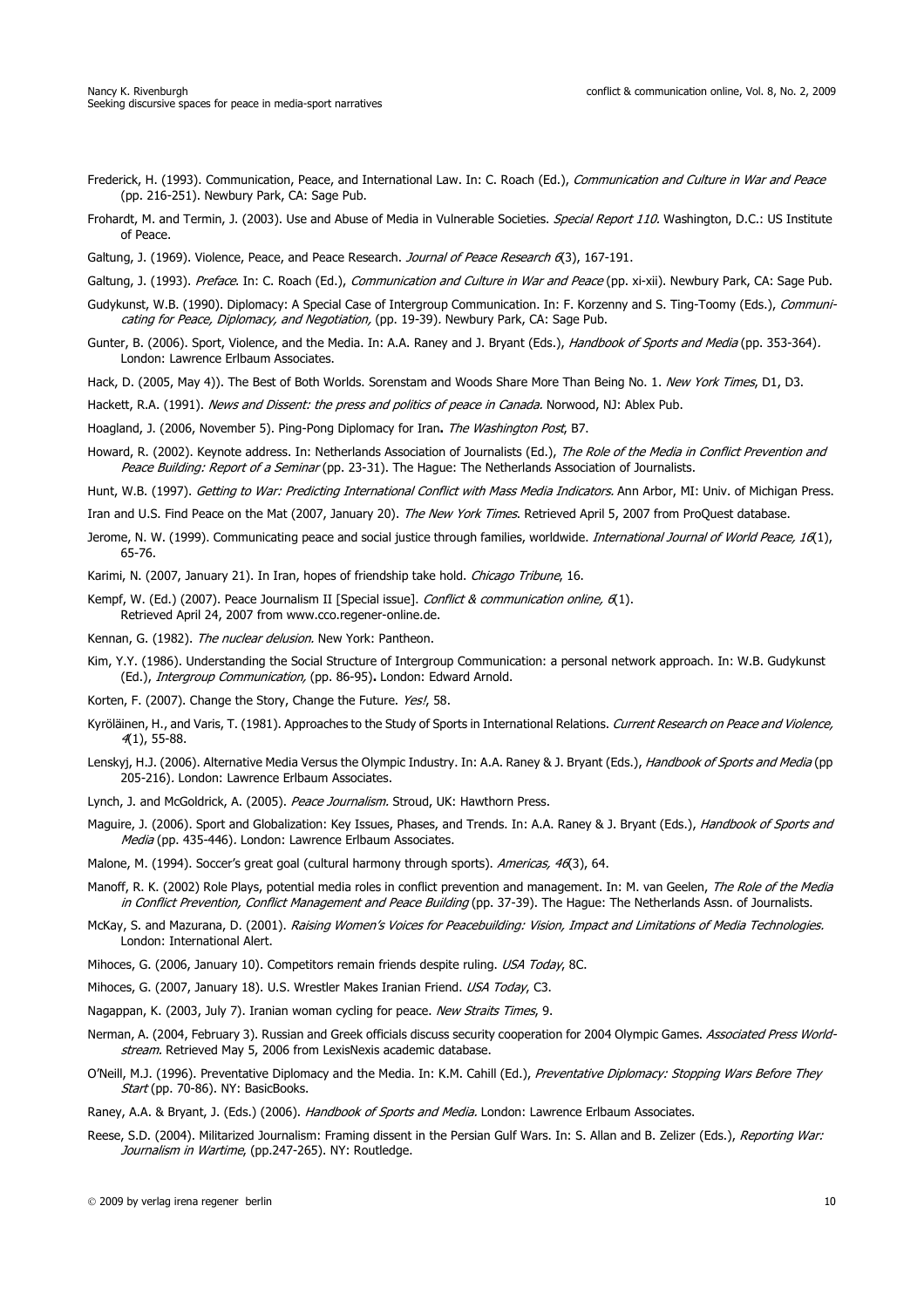- Frederick, H. (1993). Communication, Peace, and International Law. In: C. Roach (Ed.), Communication and Culture in War and Peace (pp. 216-251). Newbury Park, CA: Sage Pub.
- Frohardt, M. and Termin, J. (2003). Use and Abuse of Media in Vulnerable Societies. Special Report 110. Washington, D.C.: US Institute of Peace.
- Galtung, J. (1969). Violence, Peace, and Peace Research. Journal of Peace Research 6(3), 167-191.

Galtung, J. (1993). Preface. In: C. Roach (Ed.), Communication and Culture in War and Peace (pp. xi-xii). Newbury Park, CA: Sage Pub.

- Gudykunst, W.B. (1990). Diplomacy: A Special Case of Intergroup Communication. In: F. Korzenny and S. Ting-Toomy (Eds.), Communicating for Peace, Diplomacy, and Negotiation, (pp. 19-39). Newbury Park, CA: Sage Pub.
- Gunter, B. (2006). Sport, Violence, and the Media. In: A.A. Raney and J. Bryant (Eds.), Handbook of Sports and Media (pp. 353-364). London: Lawrence Erlbaum Associates.
- Hack, D. (2005, May 4)). The Best of Both Worlds. Sorenstam and Woods Share More Than Being No. 1. New York Times, D1, D3.

Hackett, R.A. (1991). News and Dissent: the press and politics of peace in Canada. Norwood, NJ: Ablex Pub.

Hoagland, J. (2006, November 5). Ping-Pong Diplomacy for Iran**.** The Washington Post, B7.

- Howard, R. (2002). Keynote address. In: Netherlands Association of Journalists (Ed.), The Role of the Media in Conflict Prevention and Peace Building: Report of a Seminar (pp. 23-31). The Hague: The Netherlands Association of Journalists.
- Hunt, W.B. (1997). Getting to War: Predicting International Conflict with Mass Media Indicators. Ann Arbor, MI: Univ. of Michigan Press.
- Iran and U.S. Find Peace on the Mat (2007, January 20). The New York Times. Retrieved April 5, 2007 from ProQuest database.
- Jerome, N. W. (1999). Communicating peace and social justice through families, worldwide. *International Journal of World Peace, 16*(1), 65-76.

Karimi, N. (2007, January 21). In Iran, hopes of friendship take hold. Chicago Tribune, 16.

- Kempf, W. (Ed.) (2007). Peace Journalism II [Special issue]. Conflict & communication online, 6(1). Retrieved April 24, 2007 from www.cco.regener-online.de.
- Kennan, G. (1982). The nuclear delusion. New York: Pantheon.
- Kim, Y.Y. (1986). Understanding the Social Structure of Intergroup Communication: a personal network approach. In: W.B. Gudykunst (Ed.), Intergroup Communication, (pp. 86-95)**.** London: Edward Arnold.
- Korten, F. (2007). Change the Story, Change the Future. Yes!, 58.
- Kyröläinen, H., and Varis, T. (1981). Approaches to the Study of Sports in International Relations. Current Research on Peace and Violence, 4(1), 55-88.
- Lenskyj, H.J. (2006). Alternative Media Versus the Olympic Industry. In: A.A. Raney & J. Bryant (Eds.), Handbook of Sports and Media (pp 205-216). London: Lawrence Erlbaum Associates.
- Lynch, J. and McGoldrick, A. (2005). Peace Journalism. Stroud, UK: Hawthorn Press.
- Maguire, J. (2006). Sport and Globalization: Key Issues, Phases, and Trends. In: A.A. Raney & J. Bryant (Eds.), Handbook of Sports and Media (pp. 435-446). London: Lawrence Erlbaum Associates.
- Malone, M. (1994). Soccer's great goal (cultural harmony through sports). Americas, 46(3), 64.
- Manoff, R. K. (2002) Role Plays, potential media roles in conflict prevention and management. In: M. van Geelen, The Role of the Media in Conflict Prevention, Conflict Management and Peace Building (pp. 37-39). The Hague: The Netherlands Assn. of Journalists.
- McKay, S. and Mazurana, D. (2001). Raising Women's Voices for Peacebuilding: Vision, Impact and Limitations of Media Technologies. London: International Alert.
- Mihoces, G. (2006, January 10). Competitors remain friends despite ruling. USA Today, 8C.
- Mihoces, G. (2007, January 18). U.S. Wrestler Makes Iranian Friend. USA Today, C3.
- Nagappan, K. (2003, July 7). Iranian woman cycling for peace. New Straits Times, 9.
- Nerman, A. (2004, February 3). Russian and Greek officials discuss security cooperation for 2004 Olympic Games. Associated Press Worldstream. Retrieved May 5, 2006 from LexisNexis academic database.
- O'Neill, M.J. (1996). Preventative Diplomacy and the Media. In: K.M. Cahill (Ed.), Preventative Diplomacy: Stopping Wars Before They Start (pp. 70-86). NY: BasicBooks.

Raney, A.A. & Bryant, J. (Eds.) (2006). Handbook of Sports and Media. London: Lawrence Erlbaum Associates.

Reese, S.D. (2004). Militarized Journalism: Framing dissent in the Persian Gulf Wars. In: S. Allan and B. Zelizer (Eds.), Reporting War: Journalism in Wartime, (pp.247-265). NY: Routledge.